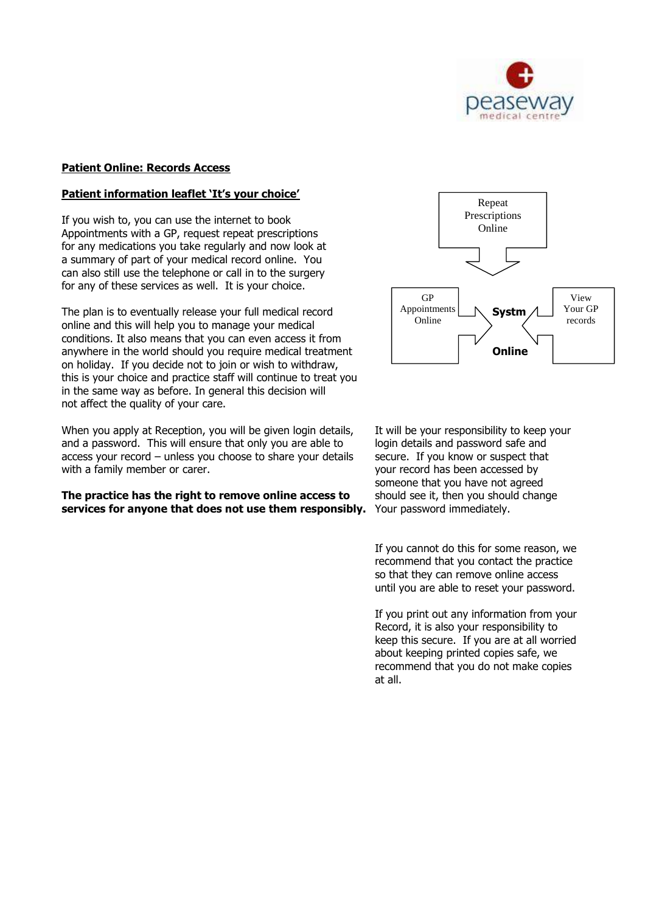

# **Patient Online: Records Access**

# **Patient information leaflet 'It's your choice'**

If you wish to, you can use the internet to book Appointments with a GP, request repeat prescriptions for any medications you take regularly and now look at a summary of part of your medical record online. You can also still use the telephone or call in to the surgery for any of these services as well. It is your choice.

The plan is to eventually release your full medical record  $\blacksquare$  Appointments  $\blacksquare$  Systm online and this will help you to manage your medical conditions. It also means that you can even access it from anywhere in the world should you require medical treatment **Online** on holiday. If you decide not to join or wish to withdraw, this is your choice and practice staff will continue to treat you in the same way as before. In general this decision will not affect the quality of your care.

When you apply at Reception, you will be given login details, It will be your responsibility to keep your and a password. This will ensure that only you are able to login details and password safe and access your record – unless you choose to share your details secure. If you know or suspect that with a family member or carer.  $\sim$  your record has been accessed by

**The practice has the right to remove online access to** should see it, then you should change **services for anyone that does not use them responsibly.** Your password immediately.



someone that you have not agreed

If you cannot do this for some reason, we recommend that you contact the practice so that they can remove online access until you are able to reset your password.

If you print out any information from your Record, it is also your responsibility to keep this secure. If you are at all worried about keeping printed copies safe, we recommend that you do not make copies at all.